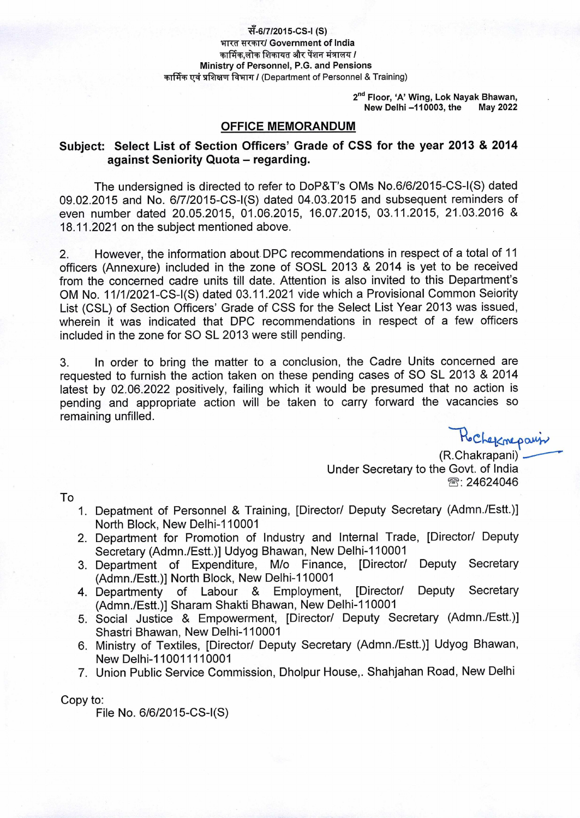#### सँ-6/7/2015-CS-I (S) भारत सरकार/ Government of India कार्मिक.लोक शिकायत और पेंशन मंत्रालय / **Ministry of Personnel, P.G. and Pensions** कार्मिक एवं प्रशिक्षण विभाग / (Department of Personnel & Training)

2<sup>nd</sup> Floor, 'A' Wing, Lok Nayak Bhawan,<br>**New Delhi –110003, the** May 2022 **New Delhi -110003, the** 

### **OFFICE MEMORANDUM**

## **Subject: Select List of Section Officers' Grade of CSS for the year 2013 & 2014 against Seniority Quota** — **regarding.**

The undersigned is directed to refer to DoP&T's OMs No.6/6/2015-CS-I(S) dated 09.02.2015 and No. 6/7/2015-CS-I(S) dated 04.03.2015 and subsequent reminders of even number dated 20.05.2015, 01.06.2015, 16.07.2015, 03.11.2015, 21.03.2016 & 18.11.2021 on the subject mentioned above.

2. However, the information about DPC recommendations in respect of a total of 11 officers (Annexure) included in the zone of SOSL 2013 & 2014 is yet to be received from the concerned cadre units till date. Attention is also invited to this Department's OM No. 11/1/2021-CS-I(S) dated 03.11.2021 vide which a Provisional Common Selority List (CSL) of Section Officers' Grade of CSS for the Select List Year 2013 was issued, wherein it was indicated that DPC recommendations in respect of a few officers included in the zone for SO SL 2013 were still pending.

3. In order to bring the matter to a conclusion, the Cadre Units concerned are requested to furnish the action taken on these pending cases of SO SL 2013 & 2014 latest by 02.06.2022 positively, failing which it would be presumed that no action is pending and appropriate action will be taken to carry forward the vacancies so remaining unfilled.

> (R.Chakrapani) \_— Under Secretary to the Govt. of India **<sup>2</sup>: 24624046**

To

- 1. Depatment of Personnel & Training, [Director/ Deputy Secretary (Admn./Estt.)] North Block, New Delhi-110001
- 2. Department for Promotion of Industry and Internal Trade, [Director/ Deputy Secretary (Admn./Estt.)] Udyog Bhawan, New Delhi-110001
- 3. Department of Expenditure, M/o Finance, [Director/ Deputy Secretary (Admn./Estt.)] North Block, New Delhi-110001
- 4. Departmenty of Labour & Employment, [Director/ Deputy Secretary (Admn./Estt.)] Sharam Shakti Bhawan, New Delhi-110001
- 5. Social Justice & Empowerment, [Director/ Deputy Secretary (Admn./Estt.)] Shastri Bhawan, New Delhi-110001
- 6. Ministry of Textiles, [Director/ Deputy Secretary (Admn./Estt.)] Udyog Bhawan, New Delhi-110011110001
- 7. Union Public Service Commission, Dholpur House,. Shahjahan Road, New Delhi

Copy to:

File No. 6/6/2015-CS-I(S)